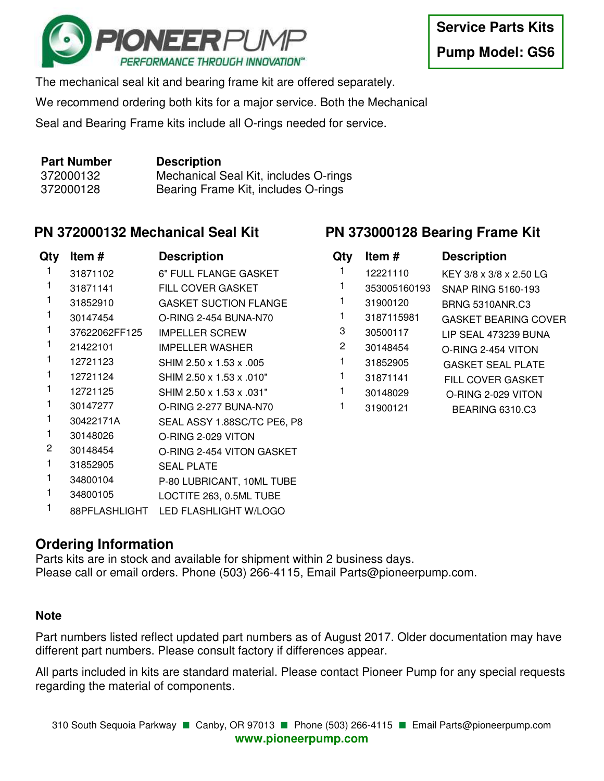

The mechanical seal kit and bearing frame kit are offered separately.

We recommend ordering both kits for a major service. Both the Mechanical

Seal and Bearing Frame kits include all O-rings needed for service.

| <b>Part Number</b> | <b>Description</b>                    |
|--------------------|---------------------------------------|
| 372000132          | Mechanical Seal Kit, includes O-rings |
| 372000128          | Bearing Frame Kit, includes O-rings   |

## **PN 372000132 Mechanical Seal Kit**

| Qty | Item#         | <b>Description</b>           |
|-----|---------------|------------------------------|
| 1   | 31871102      | 6" FULL FLANGE GASKET        |
| 1   | 31871141      | <b>FILL COVER GASKET</b>     |
| 1   | 31852910      | <b>GASKET SUCTION FLANGE</b> |
| 1   | 30147454      | O-RING 2-454 BUNA-N70        |
| 1   | 37622062FF125 | <b>IMPELLER SCREW</b>        |
| 1   | 21422101      | <b>IMPELLER WASHER</b>       |
| 1   | 12721123      | SHIM 2.50 x 1.53 x .005      |
| 1   | 12721124      | SHIM 2.50 x 1.53 x .010"     |
| 1   | 12721125      | SHIM 2.50 x 1.53 x .031"     |
| 1   | 30147277      | O-RING 2-277 BUNA-N70        |
| 1   | 30422171A     | SEAL ASSY 1.88SC/TC PE6, P8  |
| 1   | 30148026      | O-RING 2-029 VITON           |
| 2   | 30148454      | O-RING 2-454 VITON GASKET    |
| 1   | 31852905      | <b>SEAL PLATE</b>            |
| 1   | 34800104      | P-80 LUBRICANT, 10ML TUBE    |
| 1   | 34800105      | LOCTITE 263, 0.5ML TUBE      |
| 1   | 88PFLASHLIGHT | LED FLASHLIGHT W/LOGO        |

## **PN 373000128 Bearing Frame Kit**

| Qty | Item#        | <b>Description</b>          |
|-----|--------------|-----------------------------|
| 1   | 12221110     | KEY 3/8 x 3/8 x 2.50 LG     |
|     | 353005160193 | SNAP RING 5160-193          |
| 1   | 31900120     | <b>BRNG 5310ANR.C3</b>      |
| 1   | 3187115981   | <b>GASKET BEARING COVER</b> |
| 3   | 30500117     | LIP SEAL 473239 BUNA        |
| 2   | 30148454     | O-RING 2-454 VITON          |
| 1   | 31852905     | <b>GASKET SEAL PLATE</b>    |
| 1   | 31871141     | <b>FILL COVER GASKET</b>    |
|     | 30148029     | O-RING 2-029 VITON          |
|     | 31900121     | <b>BEARING 6310.C3</b>      |

## **Ordering Information**

Parts kits are in stock and available for shipment within 2 business days. Please call or email orders. Phone (503) 266-4115, Email Parts@pioneerpump.com.

## **Note**

Part numbers listed reflect updated part numbers as of August 2017. Older documentation may have different part numbers. Please consult factory if differences appear.

All parts included in kits are standard material. Please contact Pioneer Pump for any special requests regarding the material of components.